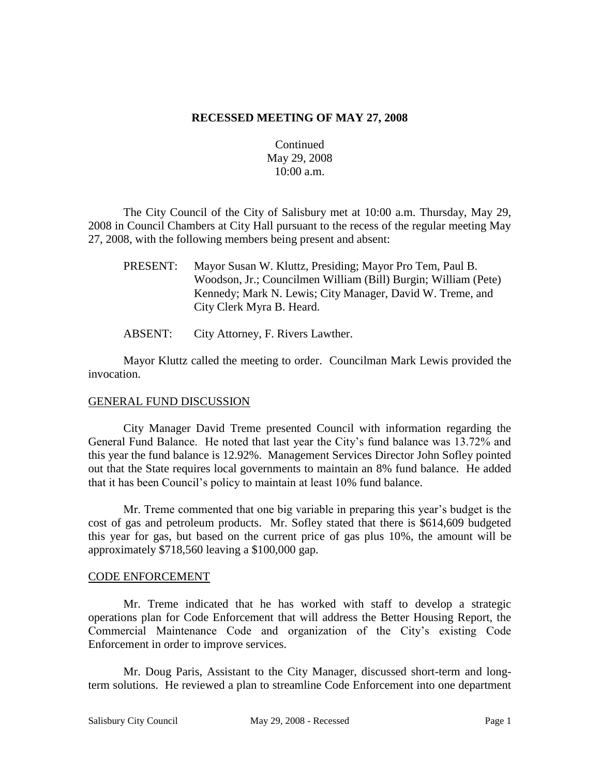### **RECESSED MEETING OF MAY 27, 2008**

## Continued May 29, 2008 10:00 a.m.

The City Council of the City of Salisbury met at 10:00 a.m. Thursday, May 29, 2008 in Council Chambers at City Hall pursuant to the recess of the regular meeting May 27, 2008, with the following members being present and absent:

- PRESENT: Mayor Susan W. Kluttz, Presiding; Mayor Pro Tem, Paul B. Woodson, Jr.; Councilmen William (Bill) Burgin; William (Pete) Kennedy; Mark N. Lewis; City Manager, David W. Treme, and City Clerk Myra B. Heard.
- ABSENT: City Attorney, F. Rivers Lawther.

Mayor Kluttz called the meeting to order. Councilman Mark Lewis provided the invocation.

### GENERAL FUND DISCUSSION

City Manager David Treme presented Council with information regarding the General Fund Balance. He noted that last year the City's fund balance was 13.72% and this year the fund balance is 12.92%. Management Services Director John Sofley pointed out that the State requires local governments to maintain an 8% fund balance. He added that it has been Council's policy to maintain at least 10% fund balance.

Mr. Treme commented that one big variable in preparing this year's budget is the cost of gas and petroleum products. Mr. Sofley stated that there is \$614,609 budgeted this year for gas, but based on the current price of gas plus 10%, the amount will be approximately \$718,560 leaving a \$100,000 gap.

### CODE ENFORCEMENT

Mr. Treme indicated that he has worked with staff to develop a strategic operations plan for Code Enforcement that will address the Better Housing Report, the Commercial Maintenance Code and organization of the City's existing Code Enforcement in order to improve services.

Mr. Doug Paris, Assistant to the City Manager, discussed short-term and longterm solutions. He reviewed a plan to streamline Code Enforcement into one department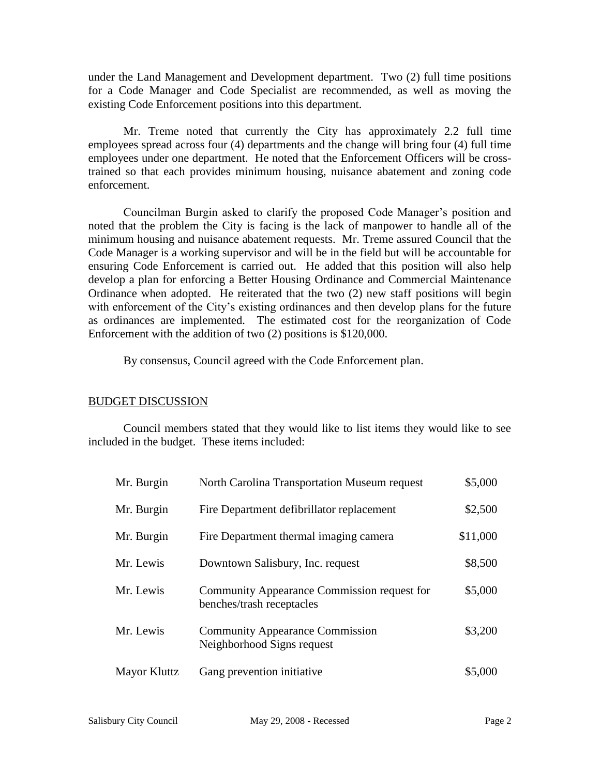under the Land Management and Development department. Two (2) full time positions for a Code Manager and Code Specialist are recommended, as well as moving the existing Code Enforcement positions into this department.

Mr. Treme noted that currently the City has approximately 2.2 full time employees spread across four (4) departments and the change will bring four (4) full time employees under one department. He noted that the Enforcement Officers will be crosstrained so that each provides minimum housing, nuisance abatement and zoning code enforcement.

Councilman Burgin asked to clarify the proposed Code Manager's position and noted that the problem the City is facing is the lack of manpower to handle all of the minimum housing and nuisance abatement requests. Mr. Treme assured Council that the Code Manager is a working supervisor and will be in the field but will be accountable for ensuring Code Enforcement is carried out. He added that this position will also help develop a plan for enforcing a Better Housing Ordinance and Commercial Maintenance Ordinance when adopted. He reiterated that the two (2) new staff positions will begin with enforcement of the City's existing ordinances and then develop plans for the future as ordinances are implemented. The estimated cost for the reorganization of Code Enforcement with the addition of two (2) positions is \$120,000.

By consensus, Council agreed with the Code Enforcement plan.

# BUDGET DISCUSSION

Council members stated that they would like to list items they would like to see included in the budget. These items included:

| Mr. Burgin          | North Carolina Transportation Museum request                             | \$5,000  |
|---------------------|--------------------------------------------------------------------------|----------|
| Mr. Burgin          | Fire Department defibrillator replacement                                | \$2,500  |
| Mr. Burgin          | Fire Department thermal imaging camera                                   | \$11,000 |
| Mr. Lewis           | Downtown Salisbury, Inc. request                                         | \$8,500  |
| Mr. Lewis           | Community Appearance Commission request for<br>benches/trash receptacles | \$5,000  |
| Mr. Lewis           | <b>Community Appearance Commission</b><br>Neighborhood Signs request     | \$3,200  |
| <b>Mayor Kluttz</b> | Gang prevention initiative                                               | \$5,000  |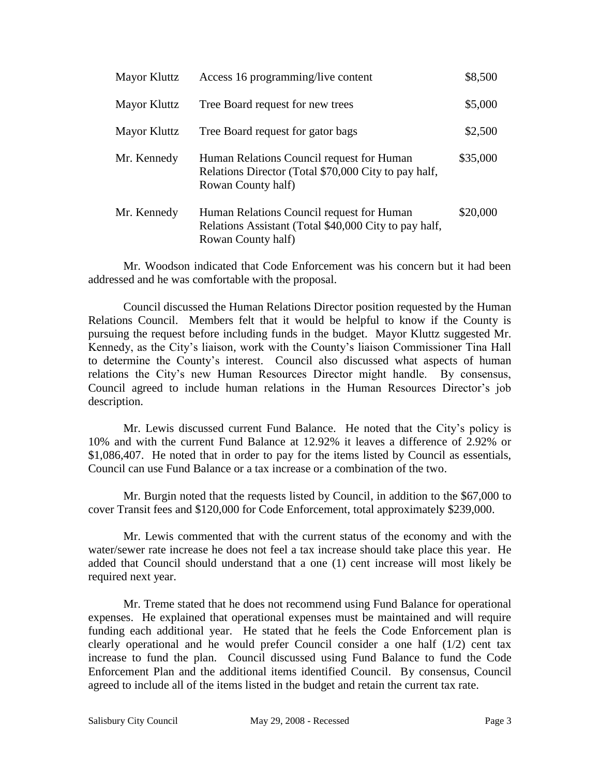| Mayor Kluttz | Access 16 programming/live content                                                                                       | \$8,500  |
|--------------|--------------------------------------------------------------------------------------------------------------------------|----------|
| Mayor Kluttz | Tree Board request for new trees                                                                                         | \$5,000  |
| Mayor Kluttz | Tree Board request for gator bags                                                                                        | \$2,500  |
| Mr. Kennedy  | Human Relations Council request for Human<br>Relations Director (Total \$70,000 City to pay half,<br>Rowan County half)  | \$35,000 |
| Mr. Kennedy  | Human Relations Council request for Human<br>Relations Assistant (Total \$40,000 City to pay half,<br>Rowan County half) | \$20,000 |

Mr. Woodson indicated that Code Enforcement was his concern but it had been addressed and he was comfortable with the proposal.

Council discussed the Human Relations Director position requested by the Human Relations Council. Members felt that it would be helpful to know if the County is pursuing the request before including funds in the budget. Mayor Kluttz suggested Mr. Kennedy, as the City's liaison, work with the County's liaison Commissioner Tina Hall to determine the County's interest. Council also discussed what aspects of human relations the City's new Human Resources Director might handle. By consensus, Council agreed to include human relations in the Human Resources Director's job description.

Mr. Lewis discussed current Fund Balance. He noted that the City's policy is 10% and with the current Fund Balance at 12.92% it leaves a difference of 2.92% or \$1,086,407. He noted that in order to pay for the items listed by Council as essentials, Council can use Fund Balance or a tax increase or a combination of the two.

Mr. Burgin noted that the requests listed by Council, in addition to the \$67,000 to cover Transit fees and \$120,000 for Code Enforcement, total approximately \$239,000.

Mr. Lewis commented that with the current status of the economy and with the water/sewer rate increase he does not feel a tax increase should take place this year. He added that Council should understand that a one (1) cent increase will most likely be required next year.

Mr. Treme stated that he does not recommend using Fund Balance for operational expenses. He explained that operational expenses must be maintained and will require funding each additional year. He stated that he feels the Code Enforcement plan is clearly operational and he would prefer Council consider a one half (1/2) cent tax increase to fund the plan. Council discussed using Fund Balance to fund the Code Enforcement Plan and the additional items identified Council. By consensus, Council agreed to include all of the items listed in the budget and retain the current tax rate.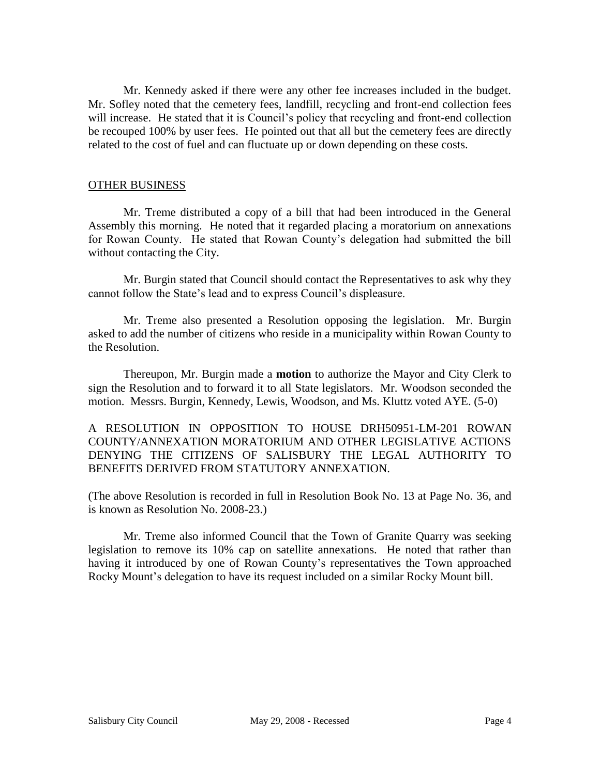Mr. Kennedy asked if there were any other fee increases included in the budget. Mr. Sofley noted that the cemetery fees, landfill, recycling and front-end collection fees will increase. He stated that it is Council's policy that recycling and front-end collection be recouped 100% by user fees. He pointed out that all but the cemetery fees are directly related to the cost of fuel and can fluctuate up or down depending on these costs.

#### OTHER BUSINESS

Mr. Treme distributed a copy of a bill that had been introduced in the General Assembly this morning. He noted that it regarded placing a moratorium on annexations for Rowan County. He stated that Rowan County's delegation had submitted the bill without contacting the City.

Mr. Burgin stated that Council should contact the Representatives to ask why they cannot follow the State's lead and to express Council's displeasure.

Mr. Treme also presented a Resolution opposing the legislation. Mr. Burgin asked to add the number of citizens who reside in a municipality within Rowan County to the Resolution.

Thereupon, Mr. Burgin made a **motion** to authorize the Mayor and City Clerk to sign the Resolution and to forward it to all State legislators. Mr. Woodson seconded the motion. Messrs. Burgin, Kennedy, Lewis, Woodson, and Ms. Kluttz voted AYE. (5-0)

A RESOLUTION IN OPPOSITION TO HOUSE DRH50951-LM-201 ROWAN COUNTY/ANNEXATION MORATORIUM AND OTHER LEGISLATIVE ACTIONS DENYING THE CITIZENS OF SALISBURY THE LEGAL AUTHORITY TO BENEFITS DERIVED FROM STATUTORY ANNEXATION.

(The above Resolution is recorded in full in Resolution Book No. 13 at Page No. 36, and is known as Resolution No. 2008-23.)

Mr. Treme also informed Council that the Town of Granite Quarry was seeking legislation to remove its 10% cap on satellite annexations. He noted that rather than having it introduced by one of Rowan County's representatives the Town approached Rocky Mount's delegation to have its request included on a similar Rocky Mount bill.